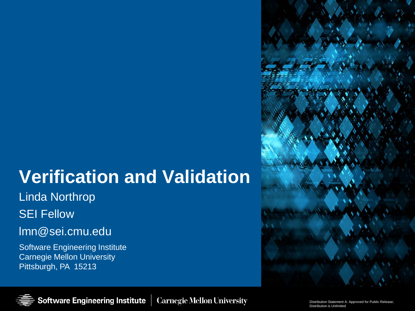# **Verification and Validation**

Linda Northrop

SEI Fellow

### lmn@sei.cmu.edu

Software Engineering Institute Carnegie Mellon University Pittsburgh, PA 15213



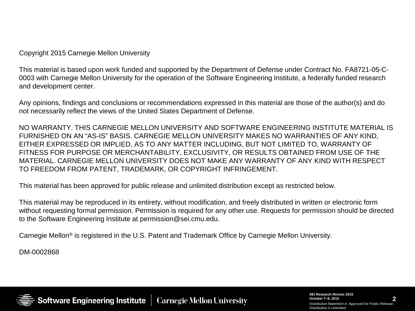Copyright 2015 Carnegie Mellon University

This material is based upon work funded and supported by the Department of Defense under Contract No. FA8721-05-C-0003 with Carnegie Mellon University for the operation of the Software Engineering Institute, a federally funded research and development center.

Any opinions, findings and conclusions or recommendations expressed in this material are those of the author(s) and do not necessarily reflect the views of the United States Department of Defense.

NO WARRANTY. THIS CARNEGIE MELLON UNIVERSITY AND SOFTWARE ENGINEERING INSTITUTE MATERIAL IS FURNISHED ON AN "AS-IS" BASIS. CARNEGIE MELLON UNIVERSITY MAKES NO WARRANTIES OF ANY KIND, EITHER EXPRESSED OR IMPLIED, AS TO ANY MATTER INCLUDING, BUT NOT LIMITED TO, WARRANTY OF FITNESS FOR PURPOSE OR MERCHANTABILITY, EXCLUSIVITY, OR RESULTS OBTAINED FROM USE OF THE MATERIAL. CARNEGIE MELLON UNIVERSITY DOES NOT MAKE ANY WARRANTY OF ANY KIND WITH RESPECT TO FREEDOM FROM PATENT, TRADEMARK, OR COPYRIGHT INFRINGEMENT.

This material has been approved for public release and unlimited distribution except as restricted below.

This material may be reproduced in its entirety, without modification, and freely distributed in written or electronic form without requesting formal permission. Permission is required for any other use. Requests for permission should be directed to the Software Engineering Institute at permission@sei.cmu.edu.

Carnegie Mellon® is registered in the U.S. Patent and Trademark Office by Carnegie Mellon University.

DM-0002868



**2 SEI Research Review 2015 October 7–8, 2015** Distribution Statement A: Approved for Public Release; Distribution is Unlimited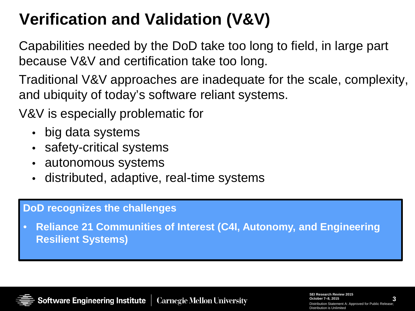# **Verification and Validation (V&V)**

Capabilities needed by the DoD take too long to field, in large part because V&V and certification take too long.

Traditional V&V approaches are inadequate for the scale, complexity, and ubiquity of today's software reliant systems.

V&V is especially problematic for

- big data systems
- safety-critical systems
- autonomous systems
- distributed, adaptive, real-time systems

#### **DoD recognizes the challenges**

• **Reliance 21 Communities of Interest (C4I, Autonomy, and Engineering Resilient Systems)**



**3 SEI Research Review 2015 October 7–8, 2015** Distribution Statement A: Approved for Public Rel Distribution is Unlimited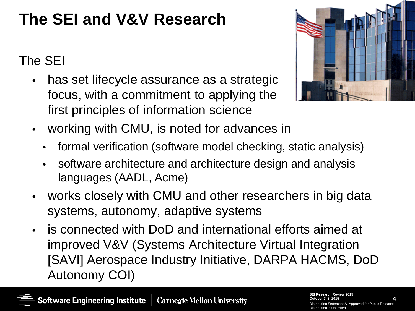# **The SEI and V&V Research**

### The SEI

has set lifecycle assurance as a strategic focus, with a commitment to applying the first principles of information science



- working with CMU, is noted for advances in
	- formal verification (software model checking, static analysis)
	- software architecture and architecture design and analysis languages (AADL, Acme)
- works closely with CMU and other researchers in big data systems, autonomy, adaptive systems
- is connected with DoD and international efforts aimed at improved V&V (Systems Architecture Virtual Integration [SAVI] Aerospace Industry Initiative, DARPA HACMS, DoD Autonomy COI)